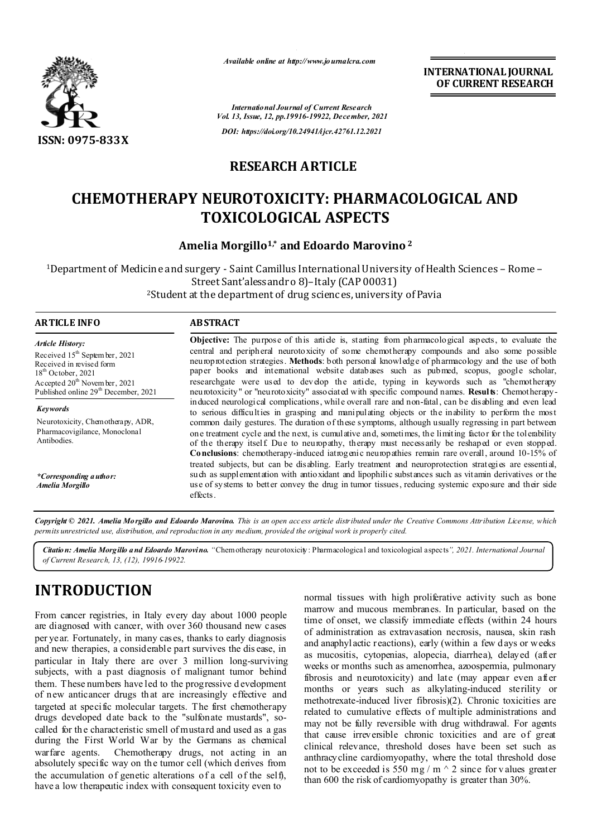

*Available online at http://www.journalcra.com*

**INTERNATIONAL JOURNAL OF CURRENT RESEARCH**

*International Journal of Current Research Vol. 13, Issue, 12, pp.19916-19922, December, 2021 DOI: https://doi.org/10.24941/ijcr.42761.12.2021*

## **RESEARCH ARTICLE**

# **CHEMOTHERAPY NEUROTOXICITY: PHARMACOLOGICAL AND TOXICOLOGICAL ASPECTS**

### **Amelia Morgillo1,\* and Edoardo Marovino <sup>2</sup>**

1Department of Medicine and surgery - Saint Camillus International University of Health Sciences – Rome – Street Sant'alessandro 8)–Italy (CAP 00031) 2Student at the department of drug sciences, university of Pavia

#### **ARTICLE INFO ABSTRACT**

*Article History: Article History:* Received 15<sup>th</sup> Septem ber, 2021 Received in revised form Received in revised form  $18<sup>th</sup>$  October, 2021 Ac cepted  $20^{\text{th}}$  Novem ber, 2021 Published online 29<sup>th</sup> December, 2021

*Keywords* Neurotoxicity, Chemotherapy, ADR, Pharmacovigilance, Monoclonal Antibodies.

*\*Corresponding author: Amelia Morgillo*

#### **Objective:** The purpose of this article is, starting from pharmacological aspects, to evaluate the central and peripheral neurotoxicity of some chemotherapy compounds and also some possible neuroprotection strategies. **Methods**: both personal knowledge of pharmacology and the use of both paper books and international website databases such as pubmed, scopus, google scholar, researchgate were used to develop the article, typing in keywords such as "chemotherapy neurotoxicity" or "neurotoxicity" associated with specific compound names. **Results**: Chemotherapyinduced neurological complications, while overall rare and non-fatal, can be disabling and even lead to serious difficulties in grasping and manipulating objects or the inability to perform the most common daily gestures. The duration of these symptoms, although usually regressing in part between one treatment cycle and the next, is cumulative and, sometimes, the limiting factor for the tolerability of the therapy itself. Due to neuropathy, therapy must necessarily be reshaped or even stopped. **Conclusions**: chemotherapy-induced iatrogenic neuropathies remain rare overall, around 10-15% of treated subjects, but can be disabling. Early treatment and neuroprotection strategies are essential, such as supplementation with antioxidant and lipophilic substances such as vitamin derivatives or the use of systems to better convey the drug in tumor tissues, reducing systemic exposure and their side effects.

Copyright © 2021. Amelia Morgillo and Edoardo Marovino. This is an open access article distributed under the Creative Commons Attribution License, which permits unrestricted use, distribution, and reproduction in any medium, provided the original work is properly cited.

*Citation: Amelia Morgillo and Edoardo Marovino. "*Chemotherapy neurotoxicity: Pharmacological and toxicological aspects*", 2021. International Journal of Current Research, 13, (12), 19916-19922.*

# **INTRODUCTION**

From cancer registries, in Italy every day about 1000 people are diagnosed with cancer, with over 360 thousand new cases per year. Fortunately, in many cases, thanks to early diagnosis and new therapies, a considerable part survives the dis ease, in particular in Italy there are over 3 million long-surviving subjects, with a past diagnosis of malignant tumor behind them. These numbers have led to the progressive d evelopment of new anticancer drugs that are increasingly effective and targeted at specific molecular targets. The first chemotherapy drugs developed date back to the "sulfonate mustards", socalled for th e characteristic smell of mustard and used as a gas during the First World War by the Germans as chemical warfare agents. Chemotherapy drugs, not acting in an absolutely specific way on the tumor cell (which derives from the accumulation of genetic alterations of a cell of the self), have a low therapeutic index with consequent toxicity even to

normal tissues with high proliferative activity such as bone marrow and mucous membranes. In particular, based on the time of onset, we classify immediate effects (within 24 hours of administration as extravasation necrosis, nausea, skin rash and anaphylactic reactions), early (within a few d ays or weeks as mucositis, cytopenias, alopecia, diarrhea), delayed (after weeks or months such as amenorrhea, azoospermia, pulmonary fibrosis and neurotoxicity) and late (may appear even after months or years such as alkylating-induced sterility or methotrexate-induced liver fibrosis)(2). Chronic toxicities are related to cumulative effects of multiple administrations and may not be fully reversible with drug withdrawal. For agents that cause irreversible chronic toxicities and are of great clinical relevance, threshold doses have been set such as anthracycline cardiomyopathy, where the total threshold dose not to be exceeded is 550 mg / m  $\land$  2 since for v alues greater than 600 the risk of cardiomyopathy is greater than 30%.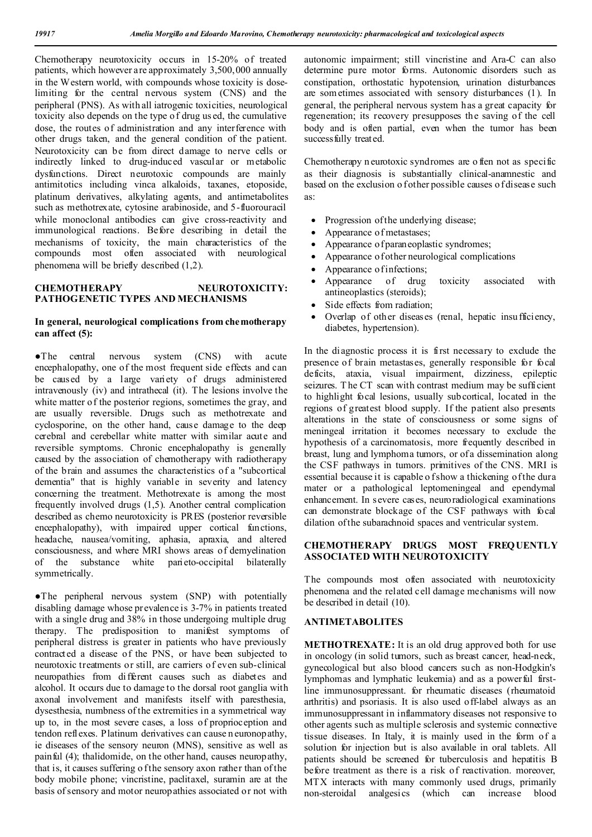Chemotherapy neurotoxicity occurs in 15-20% of treated patients, which however are approximately 3,500,000 annually in the Western world, with compounds whose toxicity is doselimiting for the central nervous system (CNS) and the peripheral (PNS). As with all iatrogenic toxicities, neurological toxicity also depends on the type o f drug us ed, the cumulative dose, the routes of administration and any interference with other drugs taken, and the general condition of the patient. Neurotoxicity can be from direct damage to nerve cells or indirectly linked to drug-induced vascular or metabolic dysfunctions. Direct neurotoxic compounds are mainly antimitotics including vinca alkaloids, taxanes, etoposide, platinum derivatives, alkylating agents, and antimetabolites such as methotrexate, cytosine arabinoside, and 5-fluorouracil while monoclonal antibodies can give cross-reactivity and immunological reactions. Before describing in detail the mechanisms of toxicity, the main characteristics of the compounds most often associated with neurological phenomena will be briefly described (1,2).

#### **CHEMOTHERAPY NEUROTOXICITY: PATHOGENETIC TYPES AND MECHANISMS**

#### **In general, neurological complications from chemotherapy can affect (5):**

●The central nervous system (CNS) with acute encephalopathy, one of the most frequent side effects and can be caused by a large variety of drugs administered intravenously (iv) and intrathecal (it). The lesions involve the white matter of the posterior regions, sometimes the gray, and are usually reversible. Drugs such as methotrexate and cyclosporine, on the other hand, cause damage to the deep cerebral and cerebellar white matter with similar acute and reversible symptoms. Chronic encephalopathy is generally caused by the association of chemotherapy with radiotherapy of the brain and assumes the characteristics of a "subcortical dementia" that is highly variable in severity and latency concerning the treatment. Methotrexate is among the most frequently involved drugs (1,5). Another central complication described as chemo neurotoxicity is PRES (posterior reversible encephalopathy), with impaired upper cortical functions, headache, nausea/vomiting, aphasia, apraxia, and altered consciousness, and where MRI shows areas of demyelination of the substance white parieto-occipital bilaterally symmetrically.

●The peripheral nervous system (SNP) with potentially disabling damage whose prevalence is 3-7% in patients treated with a single drug and 38% in those undergoing multiple drug therapy. The predisposition to manifest symptoms of peripheral distress is greater in patients who have previously contracted a disease of the PNS, or have been subjected to neurotoxic treatments or still, are carriers of even sub-clinical neuropathies from different causes such as diabetes and alcohol. It occurs due to damage to the dorsal root ganglia with axonal involvement and manifests itself with paresthesia, dysesthesia, numbness of the extremities in a symmetrical way up to, in the most severe cases, a loss of proprioception and tendon reflexes. Platinum derivatives can cause n euronopathy, ie diseases of the sensory neuron (MNS), sensitive as well as painful (4); thalidomide, on the other hand, causes neuropathy, that is, it causes suffering o f the sensory axon rather than of the body mobile phone; vincristine, paclitaxel, suramin are at the basis of sensory and motor neuropathies associated or not with

autonomic impairment; still vincristine and Ara-C can also determine pure motor forms. Autonomic disorders such as constipation, orthostatic hypotension, urination disturbances are som etimes associated with sensory disturbances (1). In general, the peripheral nervous system has a great capacity for regeneration; its recovery presupposes the saving of the cell body and is often partial, even when the tumor has been success fully treated.

Chemotherapy n eurotoxic syndromes are o ften not as specific as their diagnosis is substantially clinical-anamnestic and based on the exclusion o fother possible causes o f disease such as:

- Progression of the underlying disease;
- Appearance of metastases;
- Appearance of paraneoplastic syndromes;
- Appearance of other neurological complications
- Appearance of infections;
- Appearance of drug toxicity associated with antineoplastics (steroids);
- Side effects from radiation;
- Overlap of other diseases (renal, hepatic insu fficiency, diabetes, hypertension).

In the diagnostic process it is first necessary to exclude the presence of brain metastases, generally responsible for focal deficits, ataxia, visual impairment, dizziness, epileptic seizures. T he CT scan with contrast medium may be sufficient to highlight focal lesions, usually subcortical, located in the regions of greatest blood supply. If the patient also presents alterations in the state of consciousness or some signs of meningeal irritation it becomes necessary to exclude the hypothesis of a carcinomatosis, more frequently described in breast, lung and lymphoma tumors, or of a dissemination along the CSF pathways in tumors. primitives of the CNS. MRI is essential because it is capable o f show a thickening of the dura mater or a pathological leptomeningeal and ependymal enhancement. In severe cases, neuroradiological examinations can demonstrate blockage of the CSF pathways with focal dilation of the subarachnoid spaces and ventricular system.

#### **CHEMOTHERAPY DRUGS MOST FREQUENTLY ASSOCIATED WITH NEUROTOXICITY**

The compounds most often associated with neurotoxicity phenomena and the related cell damage mechanisms will now be described in detail (10).

#### **ANTIMETABOLITES**

**METHOTREXATE:** It is an old drug approved both for use in oncology (in solid tumors, such as breast cancer, head-neck, gynecological but also blood cancers such as non-Hodgkin's lymphomas and lymphatic leukemia) and as a powerful firstline immunosuppressant. for rheumatic diseases (rheumatoid arthritis) and psoriasis. It is also used off-label always as an immunosuppressant in inflammatory diseases not responsive to other agents such as multiple sclerosis and systemic connective tissue diseases. In Italy, it is mainly used in the form of a solution for injection but is also available in oral tablets. All patients should be screened for tuberculosis and hepatitis B before treatment as there is a risk of reactivation. moreover, MTX interacts with many commonly used drugs, primarily non-steroidal analgesics (which can increase blood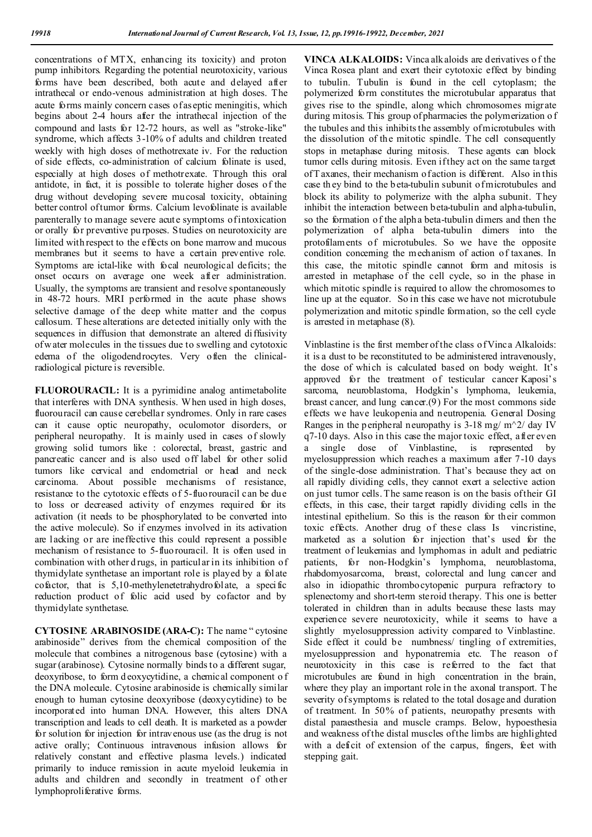concentrations of MTX, enhancing its toxicity) and proton pump inhibitors. Regarding the potential neurotoxicity, various forms have been described, both acute and delayed after intrathecal or endo-venous administration at high doses. The acute forms mainly concern cases of aseptic meningitis, which begins about 2-4 hours after the intrathecal injection of the compound and lasts for 12-72 hours, as well as "stroke-like" syndrome, which affects 3-10% of adults and children treated weekly with high doses of methotrexate iv. For the reduction of side effects, co-administration of calcium folinate is used, especially at high doses of methotrexate. Through this oral antidote, in fact, it is possible to tolerate higher doses of the drug without developing severe mucosal toxicity, obtaining better control of tumor forms. Calcium levofolinate is available parenterally to manage severe acute symptoms of intoxication or orally for preventive pu rposes. Studies on neurotoxicity are limited with respect to the effects on bone marrow and mucous membranes but it seems to have a certain preventive role. Symptoms are ictal-like with focal neurological deficits; the onset occurs on average one week after administration. Usually, the symptoms are transient and resolve spontaneously in 48-72 hours. MRI performed in the acute phase shows selective damage of the deep white matter and the corpus callosum. T hese alterations are detected initially only with the sequences in diffusion that demonstrate an altered diffusivity of w ater molecules in the tissues due to swelling and cytotoxic edema of the oligodendrocytes. Very often the clinicalradiological picture is reversible.

**FLUOROURACIL:** It is a pyrimidine analog antimetabolite that interferes with DNA synthesis. When used in high doses, fluorouracil can cause cerebellar syndromes. Only in rare cases can it cause optic neuropathy, oculomotor disorders, or peripheral neuropathy. It is mainly used in cases of slowly growing solid tumors like : colorectal, breast, gastric and pancreatic cancer and is also used off label for other solid tumors like cervical and endometrial or head and neck carcinoma. About possible mechanisms of resistance, resistance to the cytotoxic effects of 5-fluorouracil can be due to loss or decreased activity of enzymes required for its activation (it needs to be phosphorylated to be converted into the active molecule). So if enzymes involved in its activation are lacking or are ineffective this could represent a possible mechanism of resistance to 5-fluorouracil. It is often used in combination with other d rugs, in particular in its inhibition of thymidylate synthetase an important role is played by a folate cofactor, that is  $5,10$ -methylenetetrahydrofolate, a specific reduction product of folic acid used by cofactor and by thymidylate synthetase.

**CYTOSINE ARABINOSIDE (ARA-C):** The name " cytosine arabinoside" derives from the chemical composition of the molecule that combines a nitrogenous base (cytosine) with a sugar (arabinose). Cytosine normally binds to a different sugar, deoxyribose, to form d eoxycytidine, a chemical component of the DNA molecule. Cytosine arabinoside is chemically similar enough to human cytosine deoxyribose (deoxycytidine) to be incorporated into human DNA. However, this alters DNA transcription and leads to cell death. It is marketed as a powder for solution for injection for intravenous use (as the drug is not active orally; Continuous intravenous infusion allows for relatively constant and effective plasma levels.) indicated primarily to induce remission in acute myeloid leukemia in adults and children and secondly in treatment of other lymphoproliferative forms.

**VINCA ALKALOIDS:** Vinca alk aloids are derivatives o f the Vinca Rosea plant and exert their cytotoxic effect by binding to tubulin. Tubulin is found in the cell cytoplasm; the polymerized form constitutes the microtubular apparatus that gives rise to the spindle, along which chromosomes migrate during mitosis. This group of pharmacies the polymerization of the tubules and this inhibits the assembly of microtubules with the dissolution of the mitotic spindle. The cell consequently stops in metaphase during mitosis. These agents can block tumor cells during mitosis. Even if they act on the same target of T axanes, their mechanism of action is different. Also in this case th ey bind to the b eta-tubulin subunit of microtubules and block its ability to polymerize with the alpha subunit. They inhibit the interaction between beta-tubulin and alpha-tubulin, so the formation of the alpha beta-tubulin dimers and then the polymerization of alpha beta-tubulin dimers into the protofilaments of microtubules. So we have the opposite condition concerning the mechanism of action of taxanes. In this case, the mitotic spindle cannot form and mitosis is arrested in metaphase of the cell cycle, so in the phase in which mitotic spindle is required to allow the chromosomes to line up at the equator. So in this case we have not microtubule polymerization and mitotic spindle formation, so the cell cycle is arrested in metaphase (8).

Vinblastine is the first member of the class of Vinca Alkaloids: it is a dust to be reconstituted to be administered intravenously, the dose of which is calculated based on body weight. It's approved for the treatment of testicular cancer Kaposi's sarcoma, neuroblastoma, Hodgkin's lymphoma, leukemia, breast cancer, and lung cancer.(9) For the most commons side effects we have leukopenia and neutropenia. General Dosing Ranges in the p eripheral neuropathy is  $3-18$  mg/m $\textdegree$ 2/ day IV q7-10 days. Also in this case the major toxic effect, after even a single dose of Vinblastine, is represented by myelosuppression which reaches a maximum after 7-10 days of the single-dose administration. That's because they act on all rapidly dividing cells, they cannot exert a selective action on just tumor cells. The same reason is on the basis of their GI effects, in this case, their target rapidly dividing cells in the intestinal epithelium. So this is the reason for their common toxic effects. Another drug of these class Is vincristine, marketed as a solution for injection that's used for the treatment of leukemias and lymphomas in adult and pediatric patients, for non-Hodgkin's lymphoma, neuroblastoma, rhabdomyosarcoma, breast, colorectal and lung cancer and also in idiopathic thrombocytopenic purpura refractory to splenectomy and short-term steroid therapy. This one is better tolerated in children than in adults because these lasts may experience severe neurotoxicity, while it seems to have a slightly myelosuppression activity compared to Vinblastine. Side effect it could be numbness/ tingling of extremities, myelosuppression and hyponatremia etc. The reason of neurotoxicity in this case is referred to the fact that microtubules are found in high concentration in the brain, where they play an important role in the axonal transport. The severity of symptoms is related to the total dosage and duration of treatment. In 50% of patients, neuropathy presents with distal paraesthesia and muscle cramps. Below, hypoesthesia and weakness of the distal muscles of the limbs are highlighted with a deficit of extension of the carpus, fingers, feet with stepping gait.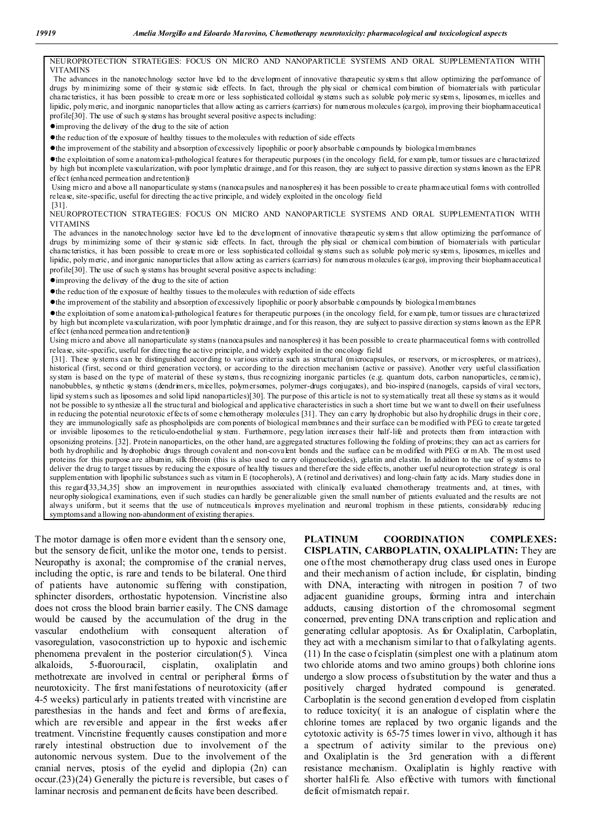NEUROPROTECTION STRATEGIES: FOCUS ON MICRO AND NANOPARTICLE SYSTEMS AND ORAL SUPPLEMENTATION WITH VITAMINS The advances in the nanotechnology sector have led to the development of innovative therapeutic systems that allow optimizing the performance of

drugs by minimizing some of their systemic side effects. In fact, through the physical or chemical com bination of biomaterials with particular characteristics, it has been possible to create m ore or less sophisticated colloidal systems such as soluble polymeric systems, liposomes, micelles and lipidic, polymeric, and inorganic nanoparticles that allow acting as carriers (carriers) for numerous molecules (cargo), improving their biopharmaceutical profile[30]. The use of such systems has brought several positive aspects including:

●improving the delivery of the drug to the site of action

●the reduction of the exposure of healthy tissues to the molecules with reduction of side effects

●the improvement of the stability and absorption of excessively lipophilic or poorly absorbable compounds by biological membranes

●the exploitation of some anatomical-pathological features for therapeutic purposes (in the oncology field, for exam ple, tumor tissues are characterized by high but incomplete vascularization, with poor lymphatic drainage, and for this reason, they are subject to passive direction systems known as the EPR effect (enhanced permeation and retention))

Using micro and above all nanoparticulate systems (nanocapsules and nanospheres) it has been possible to create pharmaceutical forms with controlled release, site-specific, useful for directing the active principle, and widely exploited in the oncology field [31].

NEUROPROTECTION STRATEGIES: FOCUS ON MICRO AND NANOPARTICLE SYSTEMS AND ORAL SUPPLEMENTATION WITH VITAMINS

The advances in the nanotechnology sector have led to the development of innovative therapeutic systems that allow optimizing the performance of drugs by minimizing some of their systemic side effects. In fact, through the physical or chemical com bination of biomaterials with particular characteristics, it has been possible to create m ore or less sophisticated colloidal systems such as soluble polymeric systems, liposomes, micelles and lipidic, polymeric, and inorganic nanoparticles that allow acting as carriers (carriers) for numerous molecules (cargo), improving their biopharmaceutical profile[30]. The use of such systems has brought several positive aspects including:

●improving the delivery of the drug to the site of action

●the reduction of the exposure of healthy tissues to the molecules with reduction of side effects

●the improvement of the stability and absorption of excessively lipophilic or poorly absorbable compounds by biological membranes

●the exploitation of some anatomical-pathological features for therapeutic purposes (in the oncology field, for exam ple, tumor tissues are characterized by high but incomplete vascularization, with poor lymphatic drainage, and for this reason, they are subject to passive direction systems known as the EPR effect (enhanced permeation and retention))

Using micro and above all nanoparticulate systems (nanocapsules and nanospheres) it has been possible to create pharmaceutical forms with controlled release, site-specific, useful for directing the active principle, and widely exploited in the oncology field

[31]. These systems can be distinguished according to various criteria such as structural (microcapsules, or reservors, or microspheres, or matrices), historical (first, second or third generation vectors), or according to the direction mechanism (active or passive). Another very useful classification system is based on the type of material of these systems, thus recognizing inorganic particles (e.g. quantum dots, carbon nanoparticles, ceramic), nanobubbles, synthetic systems (dendrimers, micelles, polymersomes, polymer-drugs conjugates), and bio-inspired (nanogels, capsids of viral vectors, lipid systems such as liposomes and solid lipid nanoparticles)[30]. The purpose of this article is not to systematically treat all these systems as it would not be possible to synthesize all the structural and biological and applicative characteristics in such a short time but we want to dwell on their usefulness in reducing the potential neurotoxic effects of some chemotherapy molecules [31]. They can carry hydrophobic but also hydrophilic drugs in their core, they are immunologically safe as phospholipids are com ponents of biological membranes and their surface can be modified with PEG to create targeted or invisible liposomes to the reticulo-endothelial system. Furthermore, pegylation increases their half-life and protects them from interaction with opsonizing proteins. [32]. Protein nanoparticles, on the other hand, are aggregated structures following the folding of proteins; they can act as carriers for both hydrophilic and hydrophobic drugs through covalent and non-covalent bonds and the surface can be modified with PEG or mAb. The most used proteins for this purpose are albumin, silk fibroin (this is also used to carry oligonucleotides), gelatin and elastin. In addition to the use of systems to deliver the drug to target tissues by reducing the exposure of healthy tissues and therefore the side effects, another useful neuroprotection strategy is oral supplementation with lipophilic substances such as vitam in E (tocopherols), A (retinol and derivatives) and long-chain fatty acids. Many studies done in this regard[33,34,35] show an improvement in neuropathies associated with clinically evaluated chemotherapy treatments and, at times, with neurophysiological examinations, even if such studies can hardly be generalizable given the small number of patients evaluated and the results are not always uniform , but it seems that the use of nutraceuticals improves myelination and neuronal trophism in these patients, considerably reducing symptoms and allowing non-abandonment of existing therapies.

The motor damage is often more evident than the sensory one, but the sensory deficit, unlike the motor one, tends to persist. Neuropathy is axonal; the compromise of the cranial nerves, including the optic, is rare and tends to be bilateral. One third of patients have autonomic suffering with constipation, sphincter disorders, orthostatic hypotension. Vincristine also does not cross the blood brain barrier easily. The CNS damage would be caused by the accumulation of the drug in the vascular endothelium with consequent alteration of vasoregulation, vasoconstriction up to hypoxic and ischemic phenomena prevalent in the posterior circulation(5). Vinca alkaloids, 5-fluorouracil, cisplatin, oxaliplatin and methotrexate are involved in central or peripheral forms of neurotoxicity. The first manifestations of neurotoxicity (after 4-5 weeks) particularly in patients treated with vincristine are paresthesias in the hands and feet and forms of areflexia, which are reversible and appear in the first weeks after treatment. Vincristine frequently causes constipation and more rarely intestinal obstruction due to involvement of the autonomic nervous system. Due to the involvement of the cranial nerves, ptosis of the eyelid and diplopia (2n) can occur.(23)(24) Generally the pictu re is reversible, but cases o f laminar necrosis and permanent deficits have been described.

**PLATINUM COORDINATION COMPLEXES: CISPLATIN, CARBOPLATIN, OXALIPLATIN:** They are one of the most chemotherapy drug class used ones in Europe and their mechanism of action include, for cisplatin, binding with DNA, interacting with nitrogen in position 7 of two adjacent guanidine groups, forming intra and interchain adducts, causing distortion of the chromosomal segment concerned, preventing DNA transcription and replication and generating cellular apoptosis. As for Oxaliplatin, Carboplatin, they act with a mechanism similar to that of alkylating agents. (11) In the case o f cisplatin (simplest one with a platinum atom two chloride atoms and two amino groups) both chlorine ions undergo a slow process of substitution by the water and thus a positively charged hydrated compound is generated. Carboplatin is the second generation d eveloped from cisplatin to reduce toxicity( it is an analogue of cisplatin where the chlorine tomes are replaced by two organic ligands and the cytotoxic activity is 65-75 times lower in vivo, although it has a spectrum of activity similar to the previous one) and Oxaliplatin is the 3rd generation with a different resistance mechanism. Oxaliplatin is highly reactive with shorter half-life. Also effective with tumors with functional deficit of mismatch repair.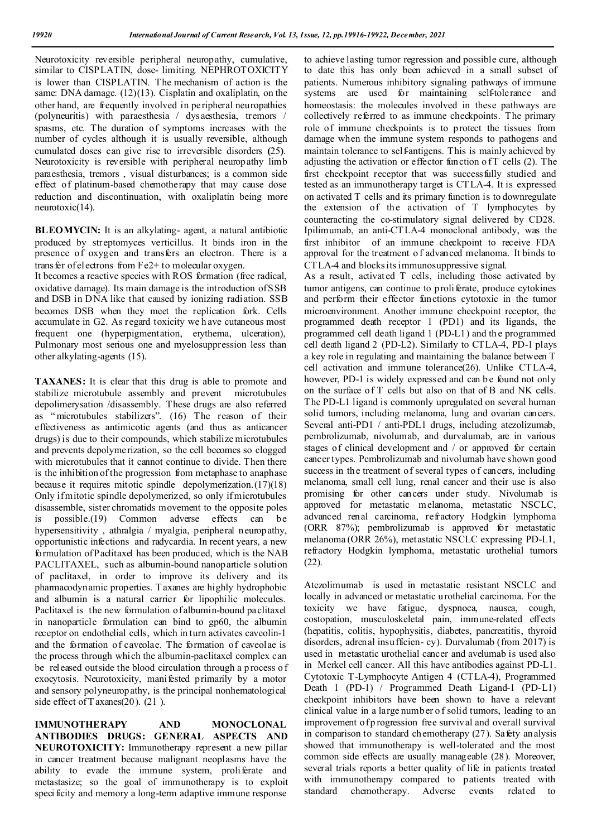Neurotoxicity reversible peripheral neuropathy, cumulative, similar to CISPLATIN, dose- limiting. NEPHROTOXICITY is lower than CISPLATIN. The mechanism of action is the same: DNA damage. (12)(13). Cisplatin and oxaliplatin, on the other hand, are frequently involved in peripheral neuropathies (polyneuritis) with paraesthesia / dysaesthesia, tremors / spasms, etc. The duration of symptoms increases with the number of cycles although it is usually reversible, although cumulated doses can give rise to irreversible disorders **(**25**)**. Neurotoxicity is reversible with peripheral neuropathy limb paraesthesia, tremors , visual disturbances; is a common side effect of platinum-based chemotherapy that may cause dose reduction and discontinuation, with oxaliplatin being more neurotoxic(14).

**BLEOMYCIN:** It is an alkylating- agent, a natural antibiotic produced by streptomyces verticillus. It binds iron in the presence of oxygen and transfers an electron. There is a trans fer of el ectrons from  $Fe2+$  to molecular oxygen.

It becomes a reactive species with ROS formation (free radical, oxidative damage). Its main damage is the introduction of SSB and DSB in D NA like that caused by ionizing radiation. SSB becomes DSB when they meet the replication fork. Cells accumulate in G2. As regard toxicity we h ave cutaneous most frequent one (hyperpigmentation, erythema, ulceration), Pulmonary most serious one and myelosuppression less than other alkylating-agents (15).

**TAXANES:** It is clear that this drug is able to promote and stabilize microtubule assembly and prevent microtubules depolimerysation /disassembly. These drugs are also referred as " microtubules stabilizers". (16) The reason of their effectiveness as antimicotic agents (and thus as anticancer drugs) is due to their compounds, which stabilize microtubules and prevents depolymerization, so the cell becomes so clogged with microtubules that it cannot continue to divide. Then there is the inhibition of the progression from metaphase to anaphase because it requires mitotic spindle depolymerization.(17)(18) Only if mitotic spindle depolymerized, so only if microtubules disassemble, sister chromatids movement to the opposite poles is possible.(19) Common adverse effects can be hypersensitivity , athralgia / myalgia, peripheral neuropathy, opportunistic infections and radycardia. In recent years, a new formulation of Paclitaxel has been produced, which is the NAB PACLITAXEL, such as albumin-bound nanoparticle solution of paclitaxel, in order to improve its delivery and its pharmacodynamic properties. T axanes are highly hydrophobic and albumin is a natural carrier for lipophilic molecules. Paclitaxel is the new formulation of albumin-bound paclitaxel in nanoparticle formulation can bind to gp60, the albumin receptor on endothelial cells, which in turn activates caveolin-1 and the formation of caveolae. The formation of caveolae is the process through which the albumin-paclitaxel complex can be released outside the blood circulation through a p rocess of exocytosis. Neurotoxicity, manifested primarily by a motor and sensory polyneuropathy, is the principal nonhematological side effect of T axanes(20). (21).

**IMMUNOTHERAPY AND MONOCLONAL ANTIBODIES DRUGS: GENERAL ASPECTS AND NEUROTOXICITY:** Immunotherapy represent a new pillar in cancer treatment because malignant neoplasms have the ability to evade the immune system, proliferate and metastasize; so the goal of immunotherapy is to exploit specificity and memory a long-term adaptive immune response

to achieve lasting tumor regression and possible cure, although to date this has only been achieved in a small subset of patients. Numerous inhibitory signaling pathways of immune systems are used for maintaining self-tolerance and homeostasis: the molecules involved in these pathways are collectively referred to as immune checkpoints. The primary role of immune checkpoints is to protect the tissues from damage when the immune system responds to pathogens and maintain tolerance to self-antigens. This is mainly achieved by adjusting the activation or effector function of  $T$  cells  $(2)$ . The first checkpoint receptor that was successfully studied and tested as an immunotherapy target is CTLA-4. It is expressed on activated T cells and its primary function is to downregulate the extension of the activation of T lymphocytes by counteracting the co-stimulatory signal delivered by CD28. Ipilimumab, an anti-CTLA-4 monoclonal antibody, was the first inhibitor of an immune checkpoint to receive FDA approval for the treatment o f advanced melanoma. It binds to CTLA-4 and blocks its immunosuppressive signal.

As a result, activated T cells, including those activated by tumor antigens, can continue to proliferate, produce cytokines and perform their effector functions cytotoxic in the tumor microenvironment. Another immune checkpoint receptor, the programmed death receptor 1 (PD1) and its ligands, the programmed cell death ligand 1 (PD-L1) and th e programmed cell death ligand 2 (PD-L2). Similarly to CTLA-4, PD-1 plays a key role in regulating and maintaining the balance between T cell activation and immune tolerance(26). Unlike CTLA-4, however, PD-1 is widely expressed and can be found not only on the surface of T cells but also on that of B and NK cells. The PD-L1 ligand is commonly upregulated on several human solid tumors, including melanoma, lung and ovarian cancers. Several anti-PD1 / anti-PDL1 drugs, including atezolizumab, pembrolizumab, nivolumab, and durvalumab, are in various stages of clinical development and / or approved for certain cancer types. Pembrolizumab and nivolumab have shown good success in the treatment of several types o f cancers, including melanoma, small cell lung, renal cancer and their use is also promising for other cancers under study. Nivolumab is approved for metastatic melanoma, metastatic NSCLC, advanced renal carcinoma, refractory Hodgkin lymphoma (ORR 87%); pembrolizumab is approved for metastatic melanoma (ORR 26%), metastatic NSCLC expressing PD-L1, refractory Hodgkin lymphoma, metastatic urothelial tumors (22).

Atezolimumab is used in metastatic resistant NSCLC and locally in advanced or metastatic urothelial carcinoma. For the toxicity we have fatigue, dyspnoea, nausea, cough, costopation, musculoskeletal pain, immune-related effects (hepatitis, colitis, hypophysitis, diabetes, pancreatitis, thyroid disorders, adrenal insufficien- cy). Durvalumab (from 2017) is used in metastatic urothelial cancer and avelumab is used also in Merkel cell cancer. All this have antibodies against PD-L1. Cytotoxic T-Lymphocyte Antigen 4 (CTLA-4), Programmed Death 1 (PD-1) / Programmed Death Ligand-1 (PD-L1) checkpoint inhibitors have been shown to have a relevant clinical value in a large number o f solid tumors, leading to an improvement of p rogression free survival and overall survival in comparison to standard chemotherapy (27). Safety analysis showed that immunotherapy is well-tolerated and the most common side effects are usually manageable (28). Moreover, several trials reports a better quality of life in patients treated with immunotherapy compared to patients treated with standard chemotherapy. Adverse events related to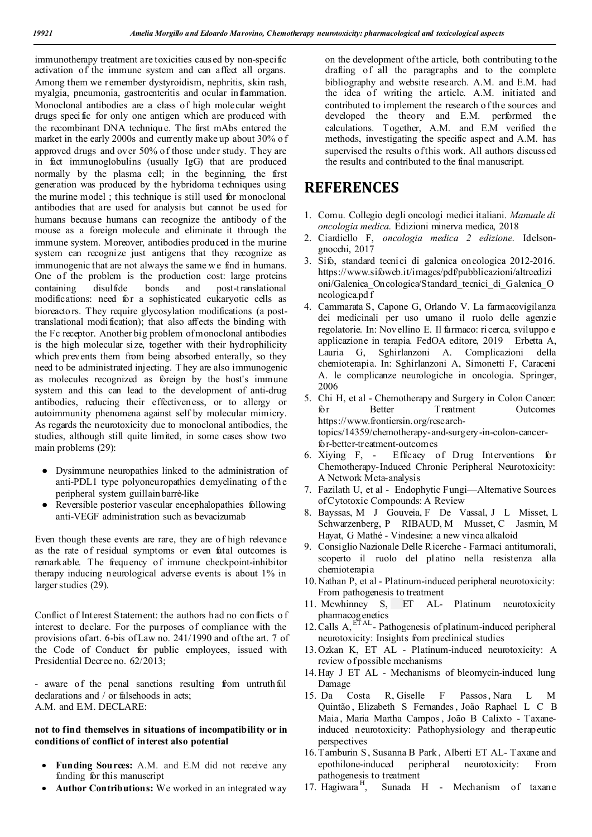immunotherapy treatment are toxicities caused by non-specific activation of the immune system and can affect all organs. Among them we remember dystyroidism, nephritis, skin rash, myalgia, pneumonia, gastroenteritis and ocular inflammation. Monoclonal antibodies are a class of high molecular weight drugs specific for only one antigen which are produced with the recombinant DNA technique. The first mAbs entered the market in the early 2000s and currently make up about 30% of approved drugs and over 50% of those under study. T hey are in fact immunoglobulins (usually IgG) that are produced normally by the plasma cell; in the beginning, the first generation was produced by the hybridoma techniques using the murine model ; this technique is still used for monoclonal antibodies that are used for analysis but cannot be used for humans because humans can recognize the antibody of the mouse as a foreign molecule and eliminate it through the immune system. Moreover, antibodies produced in the murine system can recognize just antigens that they recognize as immunogenic that are not always the same we find in humans. One of the problem is the production cost: large proteins containing disulfide bonds and post-translational modifications: need for a sophisticated eukaryotic cells as bioreactors. They require glycosylation modifications (a posttranslational modi fication); that also affects the binding with the Fc receptor. Another big problem of monoclonal antibodies is the high molecular si ze, together with their hydrophilicity which prevents them from being absorbed enterally, so they need to be administrated injecting. T hey are also immunogenic as molecules recognized as foreign by the host's immune system and this can lead to the development of anti-drug antibodies, reducing their effectiveness, or to allergy or autoimmunity phenomena against self by molecular mimicry. As regards the neurotoxicity due to monoclonal antibodies, the studies, although still quite limited, in some cases show two main problems (29):

- Dysimmune neuropathies linked to the administration of anti-PDL1 type polyoneuropathies demyelinating of the peripheral system guillain barrè-like
- Reversible posterior vascular encephalopathies following anti-VEGF administration such as bevacizumab

Even though these events are rare, they are of high relevance as the rate of residual symptoms or even fatal outcomes is remarkable. The frequency of immune checkpoint-inhibitor therapy inducing neurological adverse events is about 1% in larger studies (29).

Conflict of Interest Statement: the authors had no conflicts o f interest to declare. For the purposes of compliance with the provisions of art. 6-bis of Law no. 241/1990 and of the art. 7 of the Code of Conduct for public employees, issued with Presidential Decree no. 62/2013;

- aware of the penal sanctions resulting from untruthful declarations and / or falsehoods in acts; A.M. and E.M. DECLARE:

#### **not to find themselves in situations of incompatibility or in conditions of conflict of interest also potential**

- **Funding Sources:** A.M. and E.M did not receive any funding for this manuscript
- **Author Contributions:** We worked in an integrated way

on the development of the article, both contributing to the drafting of all the paragraphs and to the complete bibliography and website research. A.M. and E.M. had the idea of writing the article. A.M. initiated and contributed to implement the research o f the sources and developed the theory and E.M. performed the calculations. Together, A.M. and E.M verified the methods, investigating the specific aspect and A.M. has supervised the results of this work. All authors discussed the results and contributed to the final manuscript.

## **REFERENCES**

- 1. Comu. Collegio degli oncologi medici italiani. *Manuale di oncologia medica*. Edizioni minerva medica, 2018
- 2. Ciardiello F, *oncologia medica 2 edizione*. Idelsongnocchi, 2017
- 3. Sifo, standard tecnici di galenica oncologica 2012-2016. https://www.sifoweb.it/images/pdf/pubblicazioni/altreedizi oni/Galenica\_Oncologica/Standard\_tecnici\_di\_Galenica\_O ncologica.pd f
- 4. Cammarata S, Capone G, Orlando V. La farmacovigilanza dei medicinali per uso umano il ruolo delle agenzie regolatorie. In: Novellino E. Il farmaco: ricerca, sviluppo e applicazione in terapia. FedOA editore, 2019 Erbetta A, Lauria G, Sghirlanzoni A. Complicazioni della chemioterapia. In: Sghirlanzoni A, Simonetti F, Caraceni A. le complicanze neurologiche in oncologia. Springer, 2006
- 5. Chi H, et al Chemotherapy and Surgery in Colon Cancer: for Better Treatment Outcomes https://www.frontiersin.org/researchtopics/14359/chemotherapy-and-surgery-in-colon-cancerfor-better-treatment-outcomes
- 6. Xiying F, Efficacy of Drug Interventions for Chemotherapy-Induced Chronic Peripheral Neurotoxicity: A Network Meta-analysis
- 7. Fazilath U, et al Endophytic Fungi—Alternative Sources of Cytotoxic Compounds: A Review
- 8. Bayssas, M J Gouveia, F De Vassal, J L Misset, L Schwarzenberg, P RIBAUD, M Musset, C Jasmin, M Hayat, G Mathé - Vindesine: a new vinca alkaloid
- 9. Consiglio Nazionale Delle Ricerche Farmaci antitumorali, scoperto il ruolo del platino nella resistenza alla chemioterapia
- 10. Nathan P, et al Platinum-induced peripheral neurotoxicity: From pathogenesis to treatment
- 11. Mcwhinney S, ET AL- Platinum neurotoxicity pharmacogenetics
- 12. Calls A, ETAL Pathogenesis of platinum-induced peripheral neurotoxicity: Insights from preclinical studies
- 13. Ozkan K, ET AL Platinum-induced neurotoxicity: A review of possible mechanisms
- 14. Hay J ET AL Mechanisms of bleomycin-induced lung Damage
- 15. Da Costa R, Giselle F Passos, Nara L M Quintão , Elizabeth S Fernandes, João Raphael L C B Maia , Maria Martha Campos , João B Calixto - Taxaneinduced neurotoxicity: Pathophysiology and therapeutic perspectives
- 16. Tamburin S, Susanna B Park, Alberti ET AL- Taxane and epothilone-induced peripheral neurotoxicity: From pathogenesis to treatment<br>17. Hagiwara<sup>H</sup>, Sunada
- Sunada H Mechanism of taxane